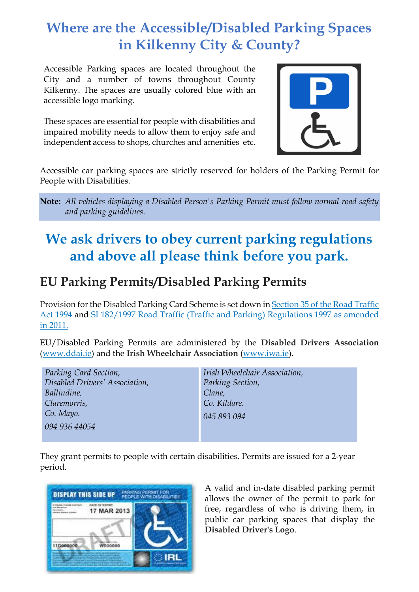## **Where are the Accessible/Disabled Parking Spaces in Kilkenny City & County?**

Accessible Parking spaces are located throughout the City and a number of towns throughout County Kilkenny. The spaces are usually colored blue with an accessible logo marking.

These spaces are essential for people with disabilities and impaired mobility needs to allow them to enjoy safe and independent access to shops, churches and amenities etc.



Accessible car parking spaces are strictly reserved for holders of the Parking Permit for People with Disabilities.

**Note:** *All vehicles displaying a Disabled Person's Parking Permit must follow normal road safety and parking guidelines*.

## **We ask drivers to obey current parking regulations and above all please think before you park.**

## **EU Parking Permits/Disabled Parking Permits**

Provision for the Disabled Parking Card Scheme is set down i[n Section 35 of the Road Traffic](http://www.irishstatutebook.ie/1994/en/act/pub/0007/sec0035.html#zza7y1994s35)  [Act 1994](http://www.irishstatutebook.ie/1994/en/act/pub/0007/sec0035.html#zza7y1994s35) and [SI 182/1997 Road Traffic \(Traffic and Parking\) Regulations 1997](http://www.irishstatutebook.ie/1997/en/si/0182.html) as amended in 2011.

EU/Disabled Parking Permits are administered by the **Disabled Drivers Association** [\(www.ddai.ie\)](http://www.ddai.ie/) and the **Irish Wheelchair Association** [\(www.iwa.ie\)](http://www.iwa.ie/).

*Parking Card Section, Disabled Drivers' Association, Ballindine, Claremorris, Co. Mayo. 094 936 44054*

*Irish Wheelchair Association, Parking Section, Clane, Co. Kildare. 045 893 094*

They grant permits to people with certain disabilities. Permits are issued for a 2-year period.



A valid and in-date disabled parking permit allows the owner of the permit to park for free, regardless of who is driving them, in public car parking spaces that display the **Disabled Driver's Logo**.